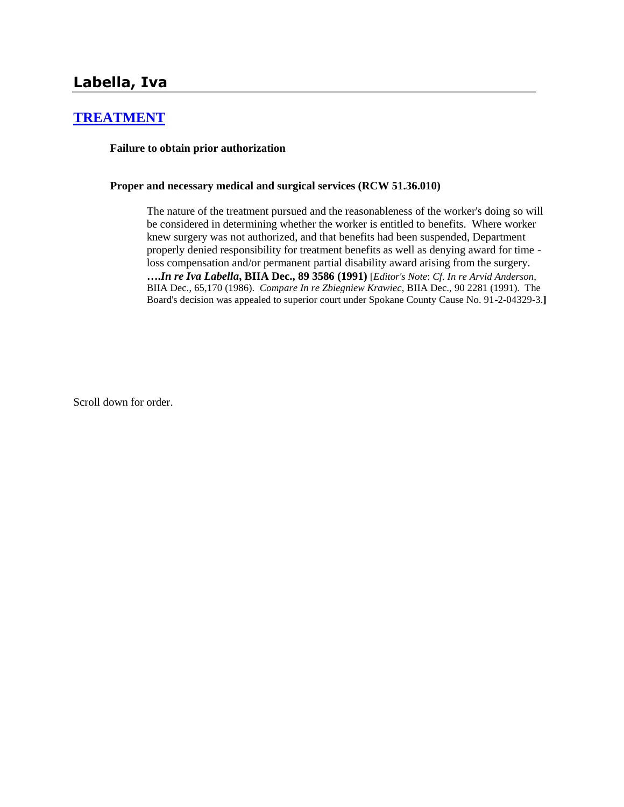## **[TREATMENT](http://www.biia.wa.gov/SDSubjectIndex.html#TREATMENT)**

**Failure to obtain prior authorization**

### **Proper and necessary medical and surgical services (RCW 51.36.010)**

The nature of the treatment pursued and the reasonableness of the worker's doing so will be considered in determining whether the worker is entitled to benefits. Where worker knew surgery was not authorized, and that benefits had been suspended, Department properly denied responsibility for treatment benefits as well as denying award for time loss compensation and/or permanent partial disability award arising from the surgery. **….***In re Iva Labella***, BIIA Dec., 89 3586 (1991)** [*Editor's Note*: *Cf*. *In re Arvid Anderson*, BIIA Dec., 65,170 (1986). *Compare In re Zbiegniew Krawiec*, BIIA Dec., 90 2281 (1991). The Board's decision was appealed to superior court under Spokane County Cause No. 91-2-04329-3.**]**

Scroll down for order.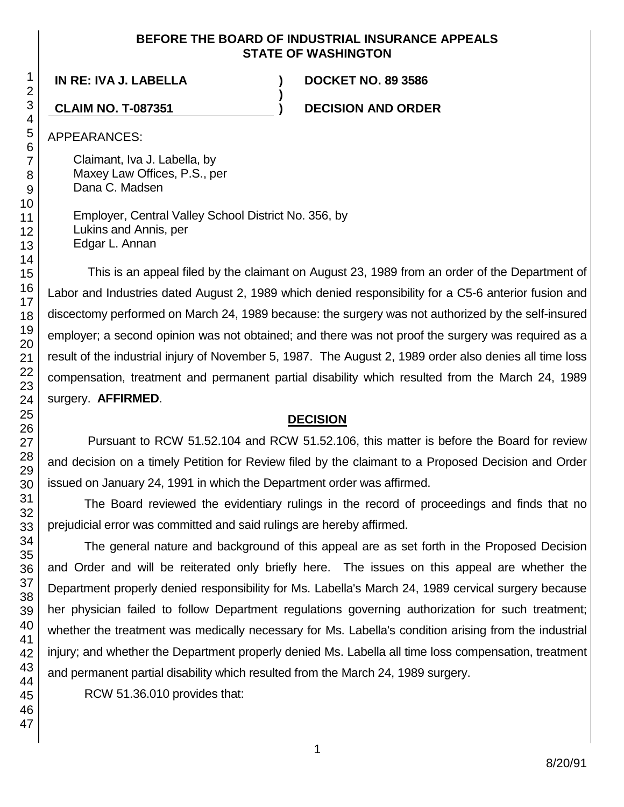### **BEFORE THE BOARD OF INDUSTRIAL INSURANCE APPEALS STATE OF WASHINGTON**

**)**

## **IN RE: IVA J. LABELLA ) DOCKET NO. 89 3586**

**CLAIM NO. T-087351 ) DECISION AND ORDER**

APPEARANCES:

Claimant, Iva J. Labella, by Maxey Law Offices, P.S., per Dana C. Madsen

Employer, Central Valley School District No. 356, by Lukins and Annis, per Edgar L. Annan

This is an appeal filed by the claimant on August 23, 1989 from an order of the Department of Labor and Industries dated August 2, 1989 which denied responsibility for a C5-6 anterior fusion and discectomy performed on March 24, 1989 because: the surgery was not authorized by the self-insured employer; a second opinion was not obtained; and there was not proof the surgery was required as a result of the industrial injury of November 5, 1987. The August 2, 1989 order also denies all time loss compensation, treatment and permanent partial disability which resulted from the March 24, 1989 surgery. **AFFIRMED**.

### **DECISION**

Pursuant to RCW 51.52.104 and RCW 51.52.106, this matter is before the Board for review and decision on a timely Petition for Review filed by the claimant to a Proposed Decision and Order issued on January 24, 1991 in which the Department order was affirmed.

The Board reviewed the evidentiary rulings in the record of proceedings and finds that no prejudicial error was committed and said rulings are hereby affirmed.

The general nature and background of this appeal are as set forth in the Proposed Decision and Order and will be reiterated only briefly here. The issues on this appeal are whether the Department properly denied responsibility for Ms. Labella's March 24, 1989 cervical surgery because her physician failed to follow Department regulations governing authorization for such treatment; whether the treatment was medically necessary for Ms. Labella's condition arising from the industrial injury; and whether the Department properly denied Ms. Labella all time loss compensation, treatment and permanent partial disability which resulted from the March 24, 1989 surgery.

RCW 51.36.010 provides that: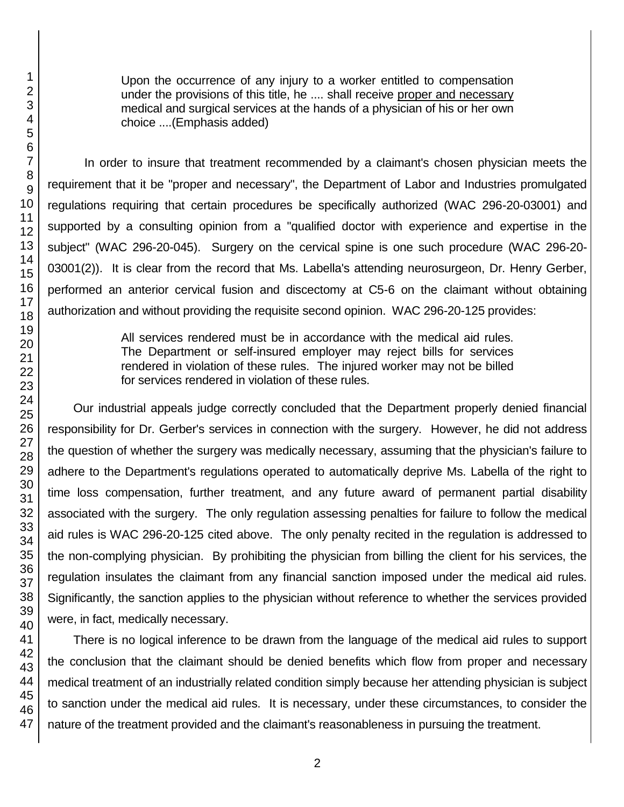Upon the occurrence of any injury to a worker entitled to compensation under the provisions of this title, he .... shall receive proper and necessary medical and surgical services at the hands of a physician of his or her own choice ....(Emphasis added)

In order to insure that treatment recommended by a claimant's chosen physician meets the requirement that it be "proper and necessary", the Department of Labor and Industries promulgated regulations requiring that certain procedures be specifically authorized (WAC 296-20-03001) and supported by a consulting opinion from a "qualified doctor with experience and expertise in the subject" (WAC 296-20-045). Surgery on the cervical spine is one such procedure (WAC 296-20- 03001(2)). It is clear from the record that Ms. Labella's attending neurosurgeon, Dr. Henry Gerber, performed an anterior cervical fusion and discectomy at C5-6 on the claimant without obtaining authorization and without providing the requisite second opinion. WAC 296-20-125 provides:

> All services rendered must be in accordance with the medical aid rules. The Department or self-insured employer may reject bills for services rendered in violation of these rules. The injured worker may not be billed for services rendered in violation of these rules.

Our industrial appeals judge correctly concluded that the Department properly denied financial responsibility for Dr. Gerber's services in connection with the surgery. However, he did not address the question of whether the surgery was medically necessary, assuming that the physician's failure to adhere to the Department's regulations operated to automatically deprive Ms. Labella of the right to time loss compensation, further treatment, and any future award of permanent partial disability associated with the surgery. The only regulation assessing penalties for failure to follow the medical aid rules is WAC 296-20-125 cited above. The only penalty recited in the regulation is addressed to the non-complying physician. By prohibiting the physician from billing the client for his services, the regulation insulates the claimant from any financial sanction imposed under the medical aid rules. Significantly, the sanction applies to the physician without reference to whether the services provided were, in fact, medically necessary.

There is no logical inference to be drawn from the language of the medical aid rules to support the conclusion that the claimant should be denied benefits which flow from proper and necessary medical treatment of an industrially related condition simply because her attending physician is subject to sanction under the medical aid rules. It is necessary, under these circumstances, to consider the nature of the treatment provided and the claimant's reasonableness in pursuing the treatment.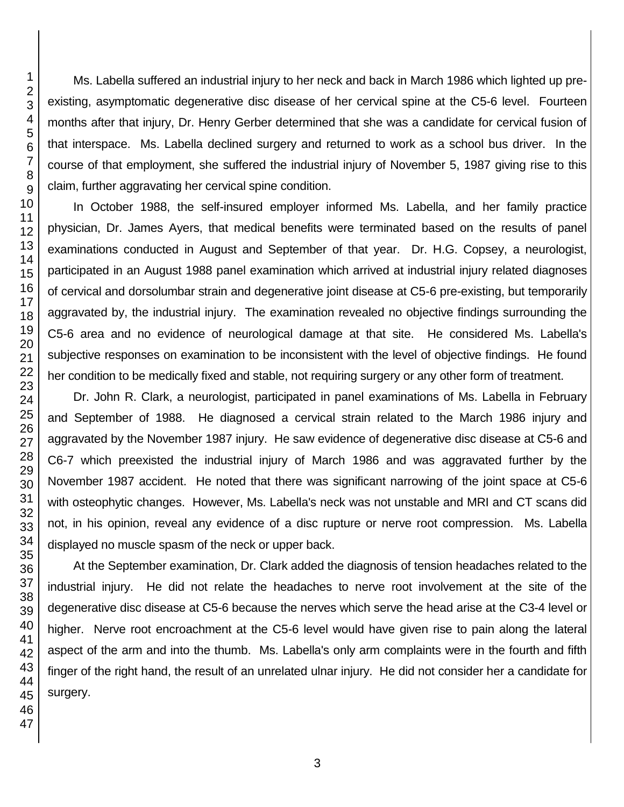Ms. Labella suffered an industrial injury to her neck and back in March 1986 which lighted up preexisting, asymptomatic degenerative disc disease of her cervical spine at the C5-6 level. Fourteen months after that injury, Dr. Henry Gerber determined that she was a candidate for cervical fusion of that interspace. Ms. Labella declined surgery and returned to work as a school bus driver. In the course of that employment, she suffered the industrial injury of November 5, 1987 giving rise to this claim, further aggravating her cervical spine condition.

In October 1988, the self-insured employer informed Ms. Labella, and her family practice physician, Dr. James Ayers, that medical benefits were terminated based on the results of panel examinations conducted in August and September of that year. Dr. H.G. Copsey, a neurologist, participated in an August 1988 panel examination which arrived at industrial injury related diagnoses of cervical and dorsolumbar strain and degenerative joint disease at C5-6 pre-existing, but temporarily aggravated by, the industrial injury. The examination revealed no objective findings surrounding the C5-6 area and no evidence of neurological damage at that site. He considered Ms. Labella's subjective responses on examination to be inconsistent with the level of objective findings. He found her condition to be medically fixed and stable, not requiring surgery or any other form of treatment.

Dr. John R. Clark, a neurologist, participated in panel examinations of Ms. Labella in February and September of 1988. He diagnosed a cervical strain related to the March 1986 injury and aggravated by the November 1987 injury. He saw evidence of degenerative disc disease at C5-6 and C6-7 which preexisted the industrial injury of March 1986 and was aggravated further by the November 1987 accident. He noted that there was significant narrowing of the joint space at C5-6 with osteophytic changes. However, Ms. Labella's neck was not unstable and MRI and CT scans did not, in his opinion, reveal any evidence of a disc rupture or nerve root compression. Ms. Labella displayed no muscle spasm of the neck or upper back.

At the September examination, Dr. Clark added the diagnosis of tension headaches related to the industrial injury. He did not relate the headaches to nerve root involvement at the site of the degenerative disc disease at C5-6 because the nerves which serve the head arise at the C3-4 level or higher. Nerve root encroachment at the C5-6 level would have given rise to pain along the lateral aspect of the arm and into the thumb. Ms. Labella's only arm complaints were in the fourth and fifth finger of the right hand, the result of an unrelated ulnar injury. He did not consider her a candidate for surgery.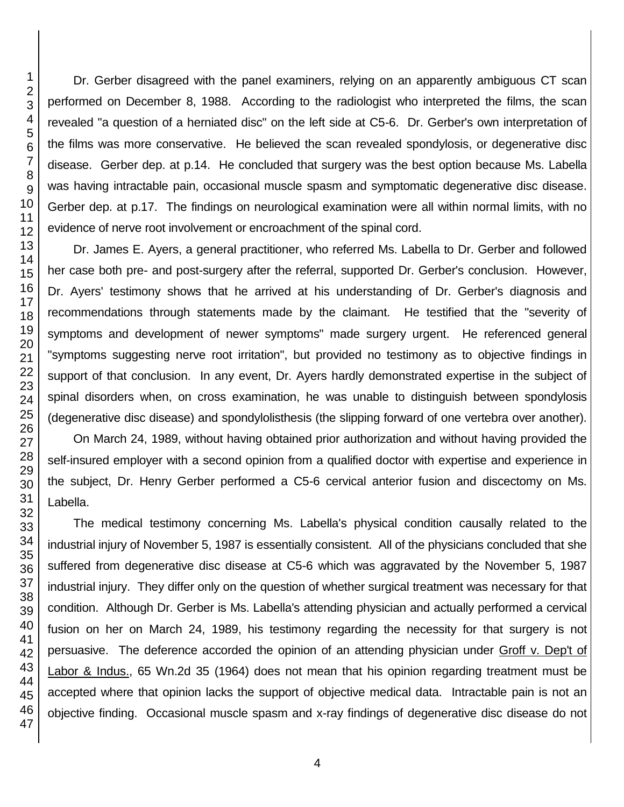Dr. Gerber disagreed with the panel examiners, relying on an apparently ambiguous CT scan performed on December 8, 1988. According to the radiologist who interpreted the films, the scan revealed "a question of a herniated disc" on the left side at C5-6. Dr. Gerber's own interpretation of the films was more conservative. He believed the scan revealed spondylosis, or degenerative disc disease. Gerber dep. at p.14. He concluded that surgery was the best option because Ms. Labella was having intractable pain, occasional muscle spasm and symptomatic degenerative disc disease. Gerber dep. at p.17. The findings on neurological examination were all within normal limits, with no evidence of nerve root involvement or encroachment of the spinal cord.

Dr. James E. Ayers, a general practitioner, who referred Ms. Labella to Dr. Gerber and followed her case both pre- and post-surgery after the referral, supported Dr. Gerber's conclusion. However, Dr. Ayers' testimony shows that he arrived at his understanding of Dr. Gerber's diagnosis and recommendations through statements made by the claimant. He testified that the "severity of symptoms and development of newer symptoms" made surgery urgent. He referenced general "symptoms suggesting nerve root irritation", but provided no testimony as to objective findings in support of that conclusion. In any event, Dr. Ayers hardly demonstrated expertise in the subject of spinal disorders when, on cross examination, he was unable to distinguish between spondylosis (degenerative disc disease) and spondylolisthesis (the slipping forward of one vertebra over another).

On March 24, 1989, without having obtained prior authorization and without having provided the self-insured employer with a second opinion from a qualified doctor with expertise and experience in the subject, Dr. Henry Gerber performed a C5-6 cervical anterior fusion and discectomy on Ms. Labella.

The medical testimony concerning Ms. Labella's physical condition causally related to the industrial injury of November 5, 1987 is essentially consistent. All of the physicians concluded that she suffered from degenerative disc disease at C5-6 which was aggravated by the November 5, 1987 industrial injury. They differ only on the question of whether surgical treatment was necessary for that condition. Although Dr. Gerber is Ms. Labella's attending physician and actually performed a cervical fusion on her on March 24, 1989, his testimony regarding the necessity for that surgery is not persuasive. The deference accorded the opinion of an attending physician under Groff v. Dep't of Labor & Indus., 65 Wn.2d 35 (1964) does not mean that his opinion regarding treatment must be accepted where that opinion lacks the support of objective medical data. Intractable pain is not an objective finding. Occasional muscle spasm and x-ray findings of degenerative disc disease do not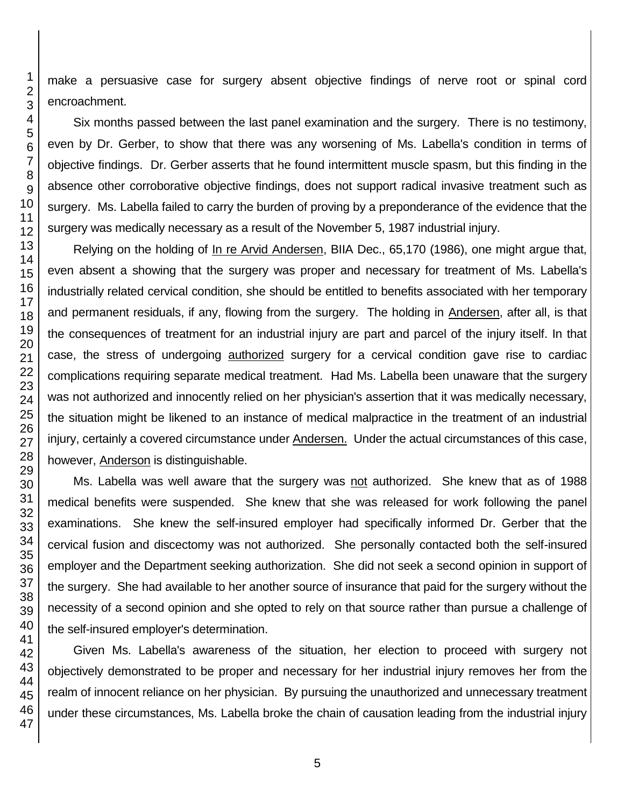make a persuasive case for surgery absent objective findings of nerve root or spinal cord encroachment.

Six months passed between the last panel examination and the surgery. There is no testimony, even by Dr. Gerber, to show that there was any worsening of Ms. Labella's condition in terms of objective findings. Dr. Gerber asserts that he found intermittent muscle spasm, but this finding in the absence other corroborative objective findings, does not support radical invasive treatment such as surgery. Ms. Labella failed to carry the burden of proving by a preponderance of the evidence that the surgery was medically necessary as a result of the November 5, 1987 industrial injury.

Relying on the holding of In re Arvid Andersen, BIIA Dec., 65,170 (1986), one might argue that, even absent a showing that the surgery was proper and necessary for treatment of Ms. Labella's industrially related cervical condition, she should be entitled to benefits associated with her temporary and permanent residuals, if any, flowing from the surgery. The holding in Andersen, after all, is that the consequences of treatment for an industrial injury are part and parcel of the injury itself. In that case, the stress of undergoing authorized surgery for a cervical condition gave rise to cardiac complications requiring separate medical treatment. Had Ms. Labella been unaware that the surgery was not authorized and innocently relied on her physician's assertion that it was medically necessary, the situation might be likened to an instance of medical malpractice in the treatment of an industrial injury, certainly a covered circumstance under Andersen. Under the actual circumstances of this case, however, Anderson is distinguishable.

Ms. Labella was well aware that the surgery was not authorized. She knew that as of 1988 medical benefits were suspended. She knew that she was released for work following the panel examinations. She knew the self-insured employer had specifically informed Dr. Gerber that the cervical fusion and discectomy was not authorized. She personally contacted both the self-insured employer and the Department seeking authorization. She did not seek a second opinion in support of the surgery. She had available to her another source of insurance that paid for the surgery without the necessity of a second opinion and she opted to rely on that source rather than pursue a challenge of the self-insured employer's determination.

Given Ms. Labella's awareness of the situation, her election to proceed with surgery not objectively demonstrated to be proper and necessary for her industrial injury removes her from the realm of innocent reliance on her physician. By pursuing the unauthorized and unnecessary treatment under these circumstances, Ms. Labella broke the chain of causation leading from the industrial injury